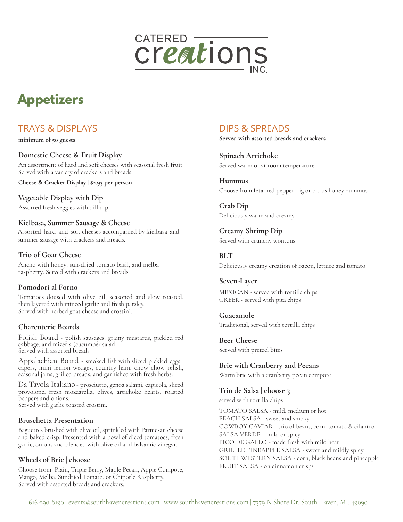

# **Appetizers**

## TRAYS & DISPLAYS

**minimum of 50 guests**

#### **Domestic Cheese & Fruit Display**

An assortment of hard and soft cheeses with seasonal fresh fruit. Served with a variety of crackers and breads.

**Cheese & Cracker Display | \$2.95 per person**

**Vegetable Display with Dip**  Assorted fresh veggies with dill dip.

#### **Kielbasa, Summer Sausage & Cheese**

Assorted hard and soft cheeses accompanied by kielbasa and summer sausage with crackers and breads.

#### **Trio of Goat Cheese**

Ancho with honey, sun-dried tomato basil, and melba raspberry. Served with crackers and breads

#### **Pomodori al Forno**

Tomatoes doused with olive oil, seasoned and slow roasted, then layered with minced garlic and fresh parsley. Served with herbed goat cheese and crostini.

#### **Charcuterie Boards**

Polish Board - polish sausages, grainy mustards, pickled red cabbage, and mizeria (cucumber salad. Served with assorted breads.

Appalachian Board - smoked fish with sliced pickled eggs, capers, mini lemon wedges, country ham, chow chow relish, seasonal jams, grilled breads, and garnished with fresh herbs.

Da Tavola Italiano - prosciutto, genoa salami, capicola, sliced provolone, fresh mozzarella, olives, artichoke hearts, roasted peppers and onions. Served with garlic toasted crostini.

#### **Bruschetta Presentation**

Baguettes brushed with olive oil, sprinkled with Parmesan cheese and baked crisp. Presented with a bowl of diced tomatoes, fresh garlic, onions and blended with olive oil and balsamic vinegar.

#### **Wheels of Brie | choose**

Choose from Plain, Triple Berry, Maple Pecan, Apple Compote, Mango, Melba, Sundried Tomato, or Chipotle Raspberry. Served with assorted breads and crackers.

## DIPS & SPREADS

**Served with assorted breads and crackers**

**Spinach Artichoke** Served warm or at room temperature

**Hummus** Choose from feta, red pepper, fig or citrus honey hummus

**Crab Dip** Deliciously warm and creamy

**Creamy Shrimp Dip** Served with crunchy wontons

#### **BLT**

Deliciously creamy creation of bacon, lettuce and tomato

#### **Seven-Layer** MEXICAN - served with tortilla chips GREEK - served with pita chips

**Guacamole** Traditional, served with tortilla chips

**Beer Cheese** Served with pretzel bites

**Brie with Cranberry and Pecans**  Warm brie with a cranberry pecan compote

**Trio de Salsa | choose 3**  served with tortilla chips

TOMATO SALSA - mild, medium or hot PEACH SALSA - sweet and smoky COWBOY CAVIAR - trio of beans, corn, tomato & cilantro SALSA VERDE - mild or spicy PICO DE GALLO - made fresh with mild heat GRILLED PINEAPPLE SALSA - sweet and mildly spicy SOUTHWESTERN SALSA - corn, black beans and pineapple FRUIT SALSA - on cinnamon crisps